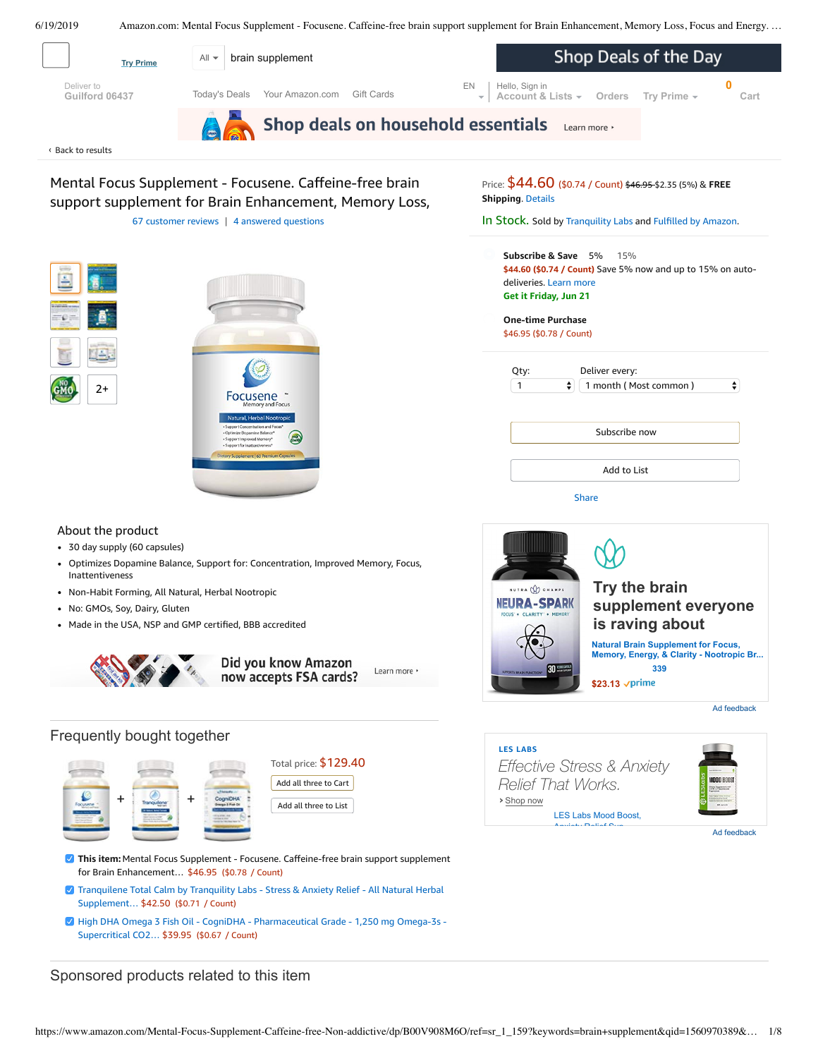<span id="page-0-0"></span>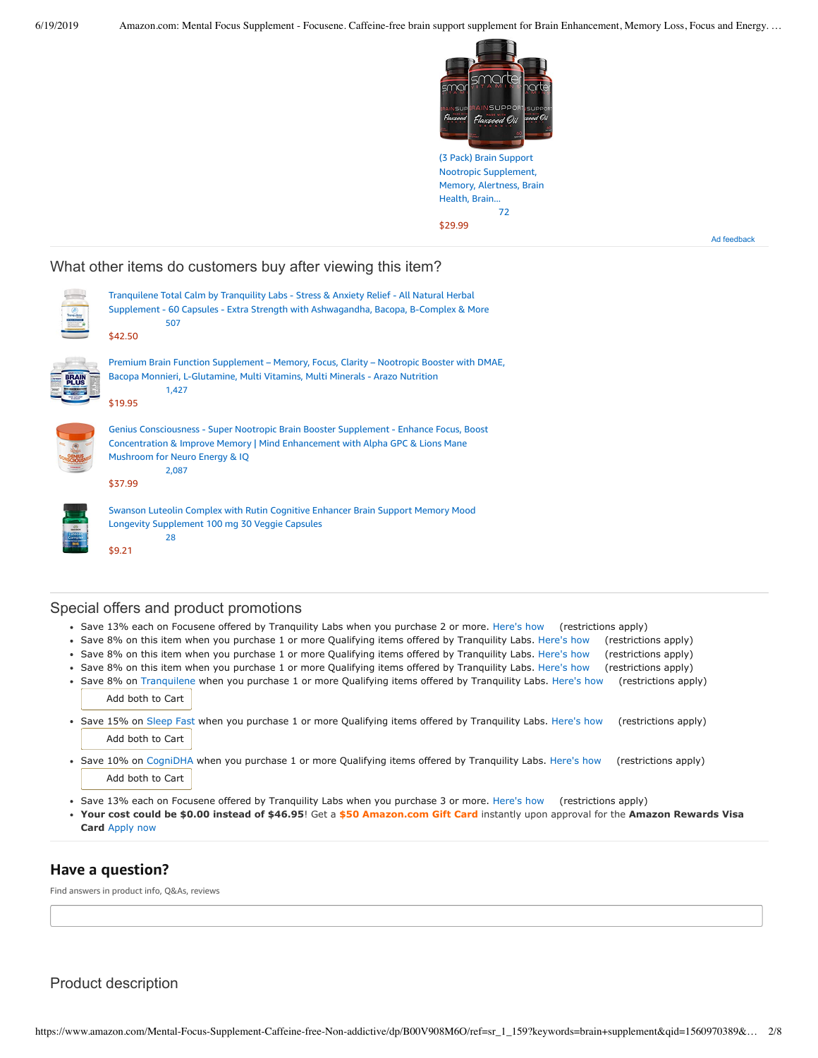

(3 Pack) Brain Support Nootropic [Supplement,](https://www.amazon.com/gp/slredirect/picassoRedirect.html/ref=sspa_dk_detail_0?ie=UTF8&adId=A03790228LIWPS5DQRYX&qualifier=1560972730&id=4193866245790220&widgetName=sp_detail&url=%2Fdp%2FB07GL5Q9LG%2Fref%3Dsspa_dk_detail_0%3Fpsc%3D1%26pd_rd_i%3DB07GL5Q9LG%26pd_rd_w%3D6OGv8%26pf_rd_p%3D8a8f3917-7900-4ce8-ad90-adf0d53c0985%26pd_rd_wg%3DdWwiD%26pf_rd_r%3DS2WNCVHA0JYN3CEDYBSQ%26pd_rd_r%3Dee5ce300-92c8-11e9-bf53-a11033396b02) Memory, Alertness, Brain Health, Brain... [72](https://www.amazon.com/gp/slredirect/picassoRedirect.html/ref=sspa_dk_detail_0?ie=UTF8&adId=A03790228LIWPS5DQRYX&qualifier=1560972730&id=4193866245790220&widgetName=sp_detail&url=%2Fdp%2FB07GL5Q9LG%2Fref%3Dsspa_dk_detail_0%3Fpsc%3D1%26pd_rd_i%3DB07GL5Q9LG%26pd_rd_w%3D6OGv8%26pf_rd_p%3D8a8f3917-7900-4ce8-ad90-adf0d53c0985%26pd_rd_wg%3DdWwiD%26pf_rd_r%3DS2WNCVHA0JYN3CEDYBSQ%26pd_rd_r%3Dee5ce300-92c8-11e9-bf53-a11033396b02#customerReviews) \$29.99

Ad feedback

### What other items do customers buy after viewing this item?





[\\$9.21](https://www.amazon.com/Swanson-Luteolin-Cognitive-Longevity-Supplement/dp/B00ELM5EFE/ref=pd_cp_121_4?pd_rd_w=Rqhg4&pf_rd_p=ef4dc990-a9ca-4945-ae0b-f8d549198ed6&pf_rd_r=S2WNCVHA0JYN3CEDYBSQ&pd_rd_r=ee5ce300-92c8-11e9-bf53-a11033396b02&pd_rd_wg=dWwiD&pd_rd_i=B00ELM5EFE&psc=1&refRID=S2WNCVHA0JYN3CEDYBSQ)

Swanson Luteolin Complex with Rutin Cognitive Enhancer Brain Support Memory Mood Longevity [Supplement](https://www.amazon.com/Swanson-Luteolin-Cognitive-Longevity-Supplement/dp/B00ELM5EFE/ref=pd_cp_121_4?pd_rd_w=Rqhg4&pf_rd_p=ef4dc990-a9ca-4945-ae0b-f8d549198ed6&pf_rd_r=S2WNCVHA0JYN3CEDYBSQ&pd_rd_r=ee5ce300-92c8-11e9-bf53-a11033396b02&pd_rd_wg=dWwiD&pd_rd_i=B00ELM5EFE&psc=1&refRID=S2WNCVHA0JYN3CEDYBSQ) 100 mg 30 Veggie Capsules [28](https://www.amazon.com/product-reviews/B00ELM5EFE/ref=pd_cp_121_4?pd_rd_w=Rqhg4&pf_rd_p=ef4dc990-a9ca-4945-ae0b-f8d549198ed6&pf_rd_r=S2WNCVHA0JYN3CEDYBSQ&pd_rd_r=ee5ce300-92c8-11e9-bf53-a11033396b02&pd_rd_wg=dWwiD&pd_rd_i=B00ELM5EFE&refRID=S2WNCVHA0JYN3CEDYBSQ)

### Special offers and product promotions

- Save 13% each on Focusene offered by Tranquility Labs when you purchase 2 or more. [Here's how](javascript:void(0))  (restrictions apply)
- Save 8% on this item when you purchase 1 or more Qualifying items offered by Tranquility Labs. [Here's how](javascript:void(0))  (restrictions apply)
- Save 8% on this item when you purchase 1 or more Qualifying items offered by Tranquility Labs. [Here's how](javascript:void(0))  (restrictions apply)
- Save 8% on this item when you purchase 1 or more Qualifying items offered by Tranquility Labs. [Here's how](javascript:void(0))  (restrictions apply)
- Save 8% on [Tranquilene](https://www.amazon.com/gp/product/B00ESJGWOW?ie=UTF8&m=A4KL8QFM8QL0G) when you purchase 1 or more Qualifying items offered by Tranquility Labs. [Here's how](javascript:void(0))  (restrictions apply) Add both to Cart Save 15% on [Sleep Fast](https://www.amazon.com/gp/product/B00EZA0BQY?ie=UTF8&m=A4KL8QFM8QL0G) when you purchase 1 or more Qualifying items offered by Tranquility Labs. [Here's how](javascript:void(0))  (restrictions apply)  $\bullet$ Add both to Cart
- Save 10% on [CogniDHA](https://www.amazon.com/gp/product/B00UZGWN7C?ie=UTF8&m=A4KL8QFM8QL0G) when you purchase 1 or more Qualifying items offered by Tranquility Labs. [Here's how](javascript:void(0))  (restrictions apply) Add both to Cart
- Save 13% each on Focusene offered by Tranquility Labs when you purchase 3 or more. [Here's how](javascript:void(0))  (restrictions apply)
- **[Your cost could be \\$0.00 instead of \\$46.95](https://www.amazon.com/gp/cobrandcard/marketing.html?pr=con321&inc=50gcUnrec&ts=9l1zuk2rt3kzci9hgj0n3m24u2ivcjd&dasin=B00V908M6O&plattr=math&place=detailpage&imp=94a7c143-90cc-403d-8158-aff34e9f35b5)**! Get a **\$50 Amazon.com Gift Card** instantly upon approval for the **Amazon Rewards Visa Card** Apply now

# **Have a question?**

Find answers in product info, Q&As, reviews

Product description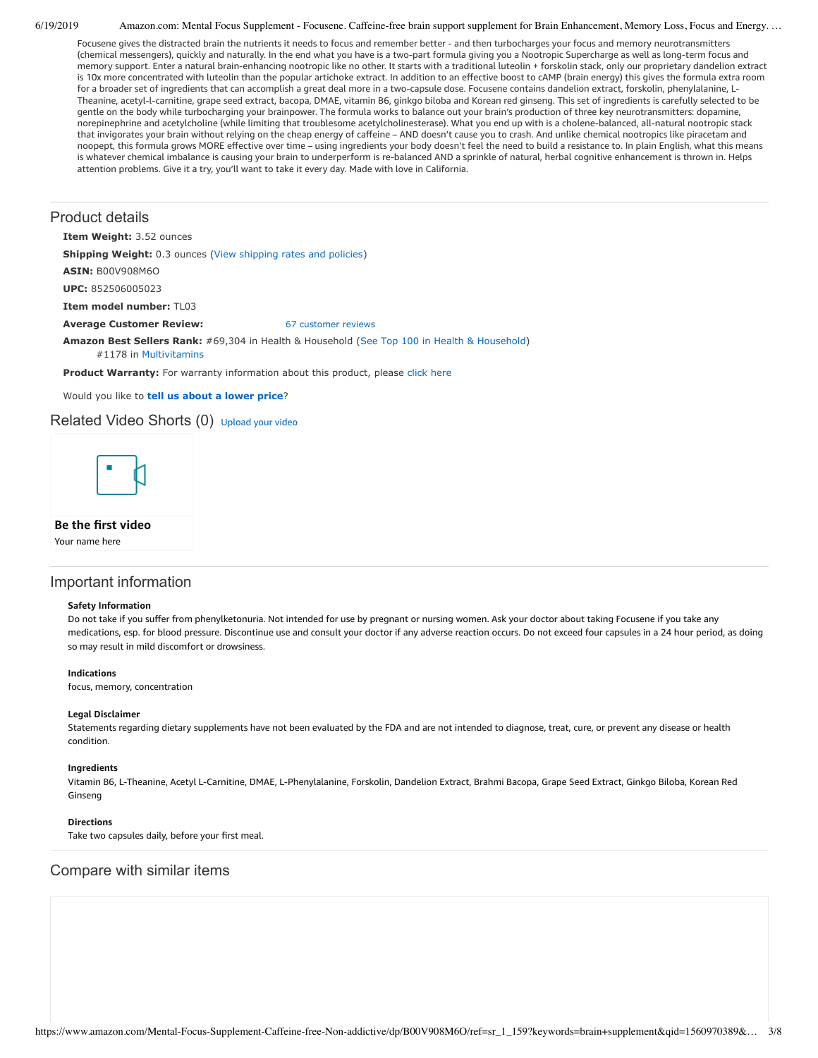Focusene gives the distracted brain the nutrients it needs to focus and remember better - and then turbocharges your focus and memory neurotransmitters (chemical messengers), quickly and naturally. In the end what you have is a two-part formula giving you a Nootropic Supercharge as well as long-term focus and memory support. Enter a natural brain-enhancing nootropic like no other. It starts with a traditional luteolin + forskolin stack, only our proprietary dandelion extract is 10x more concentrated with luteolin than the popular artichoke extract. In addition to an effective boost to cAMP (brain energy) this gives the formula extra room for a broader set of ingredients that can accomplish a great deal more in a two-capsule dose. Focusene contains dandelion extract, forskolin, phenylalanine, L-Theanine, acetyl-l-carnitine, grape seed extract, bacopa, DMAE, vitamin B6, ginkgo biloba and Korean red ginseng. This set of ingredients is carefully selected to be gentle on the body while turbocharging your brainpower. The formula works to balance out your brain's production of three key neurotransmitters: dopamine, norepinephrine and acetylcholine (while limiting that troublesome acetylcholinesterase). What you end up with is a cholene-balanced, all-natural nootropic stack that invigorates your brain without relying on the cheap energy of caffeine – AND doesn't cause you to crash. And unlike chemical nootropics like piracetam and noopept, this formula grows MORE effective over time – using ingredients your body doesn't feel the need to build a resistance to. In plain English, what this means is whatever chemical imbalance is causing your brain to underperform is re-balanced AND a sprinkle of natural, herbal cognitive enhancement is thrown in. Helps attention problems. Give it a try, you'll want to take it every day. Made with love in California.

### Product details

**Item Weight:** 3.52 ounces

**Shipping Weight:** 0.3 ounces [\(View shipping rates and policies\)](https://www.amazon.com/gp/help/seller/shipping.html/ref=dp_pd_shipping?ie=UTF8&asin=B00V908M6O&seller=ATVPDKIKX0DER)

**ASIN:** B00V908M6O

**UPC:** 852506005023

**Item model number:** TL03

### **Average Customer Review:** [67 customer reviews](https://www.amazon.com/product-reviews/B00V908M6O/ref=acr_dpproductdetail_text?ie=UTF8&showViewpoints=1)

**Amazon Best Sellers Rank:** #69,304 in Health & Household ([See Top 100 in Health & Household\)](https://www.amazon.com/gp/bestsellers/hpc/ref=pd_zg_ts_hpc) #1178 in [Multivitamins](https://www.amazon.com/gp/bestsellers/hpc/3774861/ref=pd_zg_hrsr_hpc)

Product Warranty: For warranty information about this product, please [click here](https://www.amazon.com/gp/feature.html/ref=dp_warranty_request_3P?ie=UTF8&docId=1002406021)

Would you like to **tell us about a lower price**?

### Related Video Shorts (0) [Upload](https://www.amazon.com/creatorhub/video/upload?productASIN=B00V908M6O&referringURL=ZHAvQjAwVjkwOE02Tw%3D%3D&ref=RVSW) your video



### **Be the first video**

Your name here

### Important information

#### **Safety Information**

Do not take if you suffer from phenylketonuria. Not intended for use by pregnant or nursing women. Ask your doctor about taking Focusene if you take any medications, esp. for blood pressure. Discontinue use and consult your doctor if any adverse reaction occurs. Do not exceed four capsules in a 24 hour period, as doing so may result in mild discomfort or drowsiness.

#### **Indications**

focus, memory, concentration

#### **Legal Disclaimer**

Statements regarding dietary supplements have not been evaluated by the FDA and are not intended to diagnose, treat, cure, or prevent any disease or health condition.

#### **Ingredients**

Vitamin B6, L-Theanine, Acetyl L-Carnitine, DMAE, L-Phenylalanine, Forskolin, Dandelion Extract, Brahmi Bacopa, Grape Seed Extract, Ginkgo Biloba, Korean Red Ginseng

### **Directions**

Take two capsules daily, before your first meal.

### Compare with similar items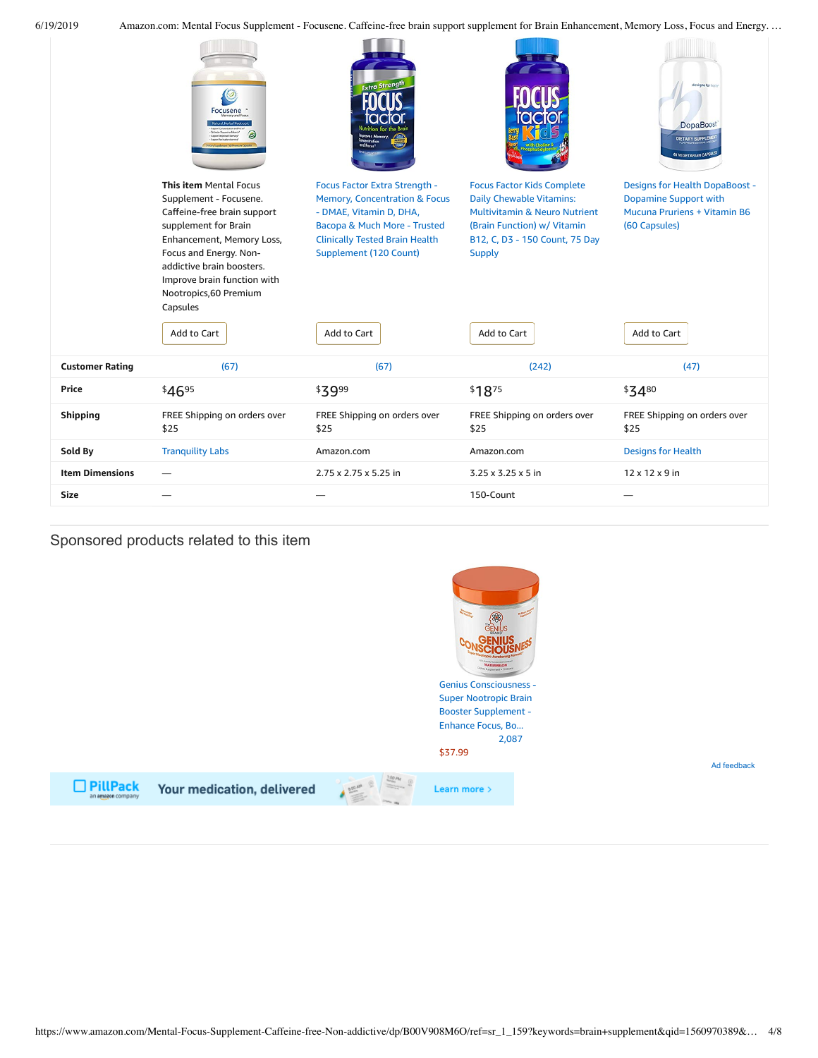|                        | -ocusene                                                                                                                                                                                                                                                                               | <b>Extra Strength</b>                                                                                                                                                                                                         |                                                                                                                                                                                                                   | designs for health<br>DopaBoost<br>DIETARY SUPPLEME<br><b>60 VEGETARIAN CAPSULE</b>                                                   |
|------------------------|----------------------------------------------------------------------------------------------------------------------------------------------------------------------------------------------------------------------------------------------------------------------------------------|-------------------------------------------------------------------------------------------------------------------------------------------------------------------------------------------------------------------------------|-------------------------------------------------------------------------------------------------------------------------------------------------------------------------------------------------------------------|---------------------------------------------------------------------------------------------------------------------------------------|
|                        | <b>This item Mental Focus</b><br>Supplement - Focusene.<br>Caffeine-free brain support<br>supplement for Brain<br>Enhancement, Memory Loss,<br>Focus and Energy. Non-<br>addictive brain boosters.<br>Improve brain function with<br>Nootropics, 60 Premium<br>Capsules<br>Add to Cart | Focus Factor Extra Strength -<br><b>Memory, Concentration &amp; Focus</b><br>- DMAE, Vitamin D, DHA,<br>Bacopa & Much More - Trusted<br><b>Clinically Tested Brain Health</b><br><b>Supplement (120 Count)</b><br>Add to Cart | <b>Focus Factor Kids Complete</b><br><b>Daily Chewable Vitamins:</b><br><b>Multivitamin &amp; Neuro Nutrient</b><br>(Brain Function) w/ Vitamin<br>B12, C, D3 - 150 Count, 75 Day<br><b>Supply</b><br>Add to Cart | <b>Designs for Health DopaBoost -</b><br><b>Dopamine Support with</b><br>Mucuna Pruriens + Vitamin B6<br>(60 Capsules)<br>Add to Cart |
| <b>Customer Rating</b> | (67)                                                                                                                                                                                                                                                                                   | (67)                                                                                                                                                                                                                          | (242)                                                                                                                                                                                                             | (47)                                                                                                                                  |
| Price                  | \$4695                                                                                                                                                                                                                                                                                 | \$3999                                                                                                                                                                                                                        | \$1875                                                                                                                                                                                                            | \$3480                                                                                                                                |
| <b>Shipping</b>        | FREE Shipping on orders over<br>\$25                                                                                                                                                                                                                                                   | FREE Shipping on orders over<br>\$25                                                                                                                                                                                          | FREE Shipping on orders over<br>\$25                                                                                                                                                                              | FREE Shipping on orders over<br>\$25                                                                                                  |
| Sold By                | <b>Tranquility Labs</b>                                                                                                                                                                                                                                                                | Amazon.com                                                                                                                                                                                                                    | Amazon.com                                                                                                                                                                                                        | <b>Designs for Health</b>                                                                                                             |
| <b>Item Dimensions</b> |                                                                                                                                                                                                                                                                                        | 2.75 x 2.75 x 5.25 in                                                                                                                                                                                                         | $3.25 \times 3.25 \times 5$ in                                                                                                                                                                                    | $12 \times 12 \times 9$ in                                                                                                            |
| <b>Size</b>            |                                                                                                                                                                                                                                                                                        |                                                                                                                                                                                                                               | 150-Count                                                                                                                                                                                                         |                                                                                                                                       |
|                        |                                                                                                                                                                                                                                                                                        |                                                                                                                                                                                                                               |                                                                                                                                                                                                                   |                                                                                                                                       |

# Sponsored products related to this item

 $\Box$  PillPack

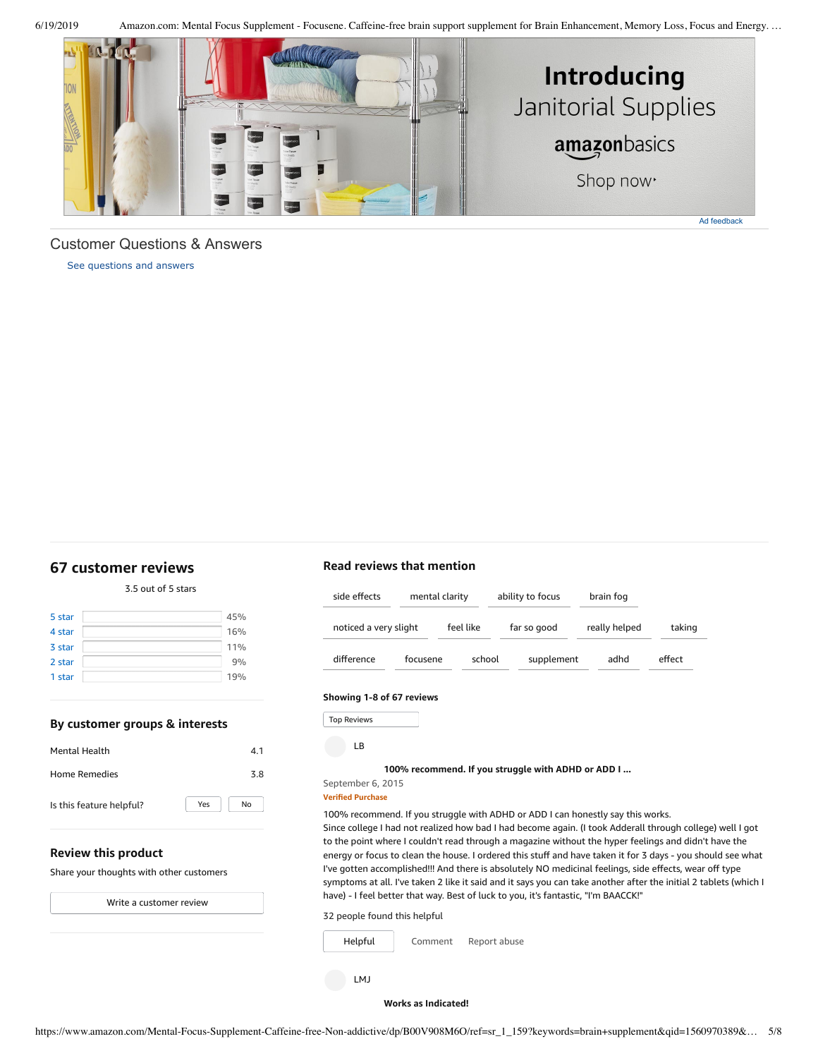

### <span id="page-4-1"></span>Customer Questions & Answers

[See questions and answers](https://www.amazon.com/ask/questions/asin/B00V908M6O/ref=cm_cd_dp_lla_ql_ll)

## <span id="page-4-0"></span>**[67 customer](https://www.amazon.com/Mental-Focus-Supplement-Caffeine-free-Non-addictive/product-reviews/B00V908M6O/ref=cm_cr_dp_d_show_all_top?ie=UTF8&reviewerType=all_reviews) reviews**

### 3.5 out of 5 [stars](javascript:void(0))

| 45% |
|-----|
| 16% |
| 11% |
| 9%  |
| 19% |
|     |

### **By customer groups & interests**

| <b>Mental Health</b>     |     | 4.1 |
|--------------------------|-----|-----|
| Home Remedies            |     | 3.8 |
| Is this feature helpful? | Yes | No  |

### **Review this product**

Share your thoughts with other customers

Write a [customer](https://www.amazon.com/review/create-review/ref=cm_cr_dp_d_wr_but_top?ie=UTF8&channel=glance-detail&asin=B00V908M6O) review

# **Read reviews that mention**

| side effects          | mental clarity |           | ability to focus | brain fog     |        |
|-----------------------|----------------|-----------|------------------|---------------|--------|
| noticed a very slight |                | feel like | far so good      | really helped | taking |
| difference            | focusene       | school    | supplement       | adhd          | effect |

### **Showing 1-8 of 67 reviews**

Top Reviews Top Reviews

LB

### **100% [recommend.](https://www.amazon.com/gp/customer-reviews/R1J0JTW423DZYF/ref=cm_cr_dp_d_rvw_ttl?ie=UTF8&ASIN=B00V908M6O) If you struggle with ADHD or ADD I ...**

### September 6, 2015 **Verified Purchase**

100% recommend. If you struggle with ADHD or ADD I can honestly say this works.

Since college I had not realized how bad I had become again. (I took Adderall through college) well I got to the point where I couldn't read through a magazine without the hyper feelings and didn't have the energy or focus to clean the house. I ordered this stuff and have taken it for 3 days - you should see what I've gotten accomplished!!! And there is absolutely NO medicinal feelings, side effects, wear off type symptoms at all. I've taken 2 like it said and it says you can take another after the initial 2 tablets (which I have) - I feel better that way. Best of luck to you, it's fantastic, "I'm BAACCK!"

32 people found this helpful



#### **Works as [Indicated!](https://www.amazon.com/gp/customer-reviews/R1GT5JIGY2EHDT/ref=cm_cr_dp_d_rvw_ttl?ie=UTF8&ASIN=B00V908M6O)**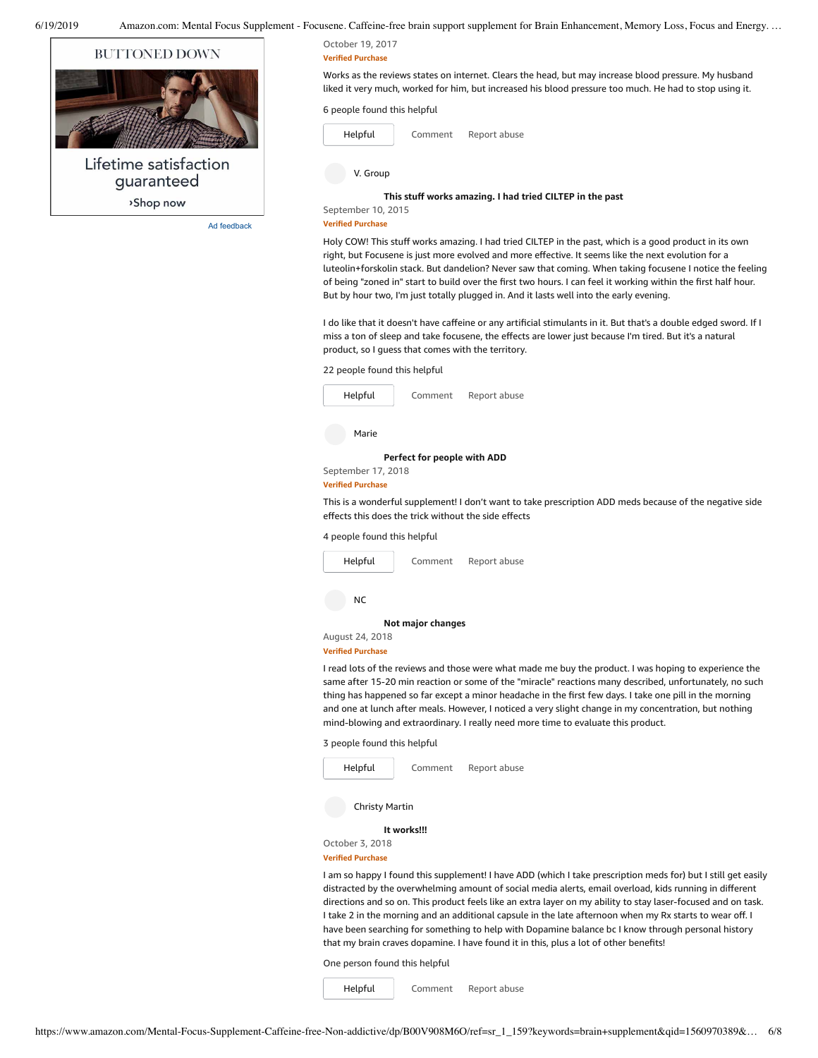

Ad feedback

#### October 19, 2017 **Verified Purchase**

Works as the reviews states on internet. Clears the head, but may increase blood pressure. My husband liked it very much, worked for him, but increased his blood pressure too much. He had to stop using it.

### 6 people found this helpful



[Comment](https://www.amazon.com/gp/customer-reviews/R1GT5JIGY2EHDT/ref=cm_cr_dp_d_rvw_btm?ie=UTF8&ASIN=B00V908M6O#wasThisHelpful) [Report](https://www.amazon.com/hz/reviews-render/report-abuse?ie=UTF8&voteDomain=Reviews&ref=cm_cr_dp_d_rvw_hlp&csrfT=gr1hA73xD5mGq04XQvtKeKFhcPfvSfqJ3vGpOG0AAAABAAAAAF0KjbpyYXcAAAAA%2B4kUEk%2F7iMGR3xPcX6iU&entityId=R1GT5JIGY2EHDT&sessionId=143-6729050-3493109) abuse

V. Group

### **This stuff works [amazing.](https://www.amazon.com/gp/customer-reviews/R65G4EWU9FTNQ/ref=cm_cr_dp_d_rvw_ttl?ie=UTF8&ASIN=B00V908M6O) I had tried CILTEP in the past**

September 10, 2015 **Verified Purchase**

Holy COW! This stuff works amazing. I had tried CILTEP in the past, which is a good product in its own right, but Focusene is just more evolved and more effective. It seems like the next evolution for a luteolin+forskolin stack. But dandelion? Never saw that coming. When taking focusene I notice the feeling of being "zoned in" start to build over the first two hours. I can feel it working within the first half hour. But by hour two, I'm just totally plugged in. And it lasts well into the early evening.

I do like that it doesn't have caffeine or any artificial stimulants in it. But that's a double edged sword. If I miss a ton of sleep and take focusene, the effects are lower just because I'm tired. But it's a natural product, so I guess that comes with the territory.

### 22 people found this helpful

| Helpful                                              | Comment                     | Report abuse                                                                                            |
|------------------------------------------------------|-----------------------------|---------------------------------------------------------------------------------------------------------|
| Marie                                                |                             |                                                                                                         |
|                                                      | Perfect for people with ADD |                                                                                                         |
| September 17, 2018                                   |                             |                                                                                                         |
| <b>Verified Purchase</b>                             |                             |                                                                                                         |
| effects this does the trick without the side effects |                             | This is a wonderful supplement! I don't want to take prescription ADD meds because of the negative side |
| 4 people found this helpful                          |                             |                                                                                                         |
| Helpful                                              | Comment                     | Report abuse                                                                                            |
|                                                      |                             |                                                                                                         |

NC

**Not major [changes](https://www.amazon.com/gp/customer-reviews/R1KZK7AK8S8RLM/ref=cm_cr_dp_d_rvw_ttl?ie=UTF8&ASIN=B00V908M6O)**

#### August 24, 2018 **Verified Purchase**

I read lots of the reviews and those were what made me buy the product. I was hoping to experience the same after 15-20 min reaction or some of the "miracle" reactions many described, unfortunately, no such thing has happened so far except a minor headache in the first few days. I take one pill in the morning and one at lunch after meals. However, I noticed a very slight change in my concentration, but nothing mind-blowing and extraordinary. I really need more time to evaluate this product.

3 people found this helpful



**Verified Purchase**

I am so happy I found this supplement! I have ADD (which I take prescription meds for) but I still get easily distracted by the overwhelming amount of social media alerts, email overload, kids running in different directions and so on. This product feels like an extra layer on my ability to stay laser-focused and on task. I take 2 in the morning and an additional capsule in the late afternoon when my Rx starts to wear off. I have been searching for something to help with Dopamine balance bc I know through personal history that my brain craves dopamine. I have found it in this, plus a lot of other benefits!

One person found this helpful

[Comment](https://www.amazon.com/gp/customer-reviews/R3O0N70WYMTJ5W/ref=cm_cr_dp_d_rvw_btm?ie=UTF8&ASIN=B00V908M6O#wasThisHelpful) [Report](https://www.amazon.com/hz/reviews-render/report-abuse?ie=UTF8&voteDomain=Reviews&ref=cm_cr_dp_d_rvw_hlp&csrfT=ghhJu4PRfqy1JE2%2Fm%2FZfhRJI16u5a%2FNAfNXaZmYAAAABAAAAAF0KjbpyYXcAAAAA%2B4kUEk%2F7iMGR3xPcX6iU&entityId=R3O0N70WYMTJ5W&sessionId=143-6729050-3493109) abuse [Helpful](https://www.amazon.com/ap/signin?openid.return_to=https%3A%2F%2Fwww.amazon.com%2Fdp%2FB00V908M6O%2Fref%3Dcm_cr_dp_d_vote_lft%3Fie%3DUTF8%26voteInstanceId%3DR3O0N70WYMTJ5W%26voteValue%3D1%26csrfT%3DghhJu4PRfqy1JE2%252Fm%252FZfhRJI16u5a%252FNAfNXaZmYAAAABAAAAAF0KjbpyYXcAAAAA%252B4kUEk%252F7iMGR3xPcX6iU%23R3O0N70WYMTJ5W&openid.identity=http%3A%2F%2Fspecs.openid.net%2Fauth%2F2.0%2Fidentifier_select&openid.claimed_id=http%3A%2F%2Fspecs.openid.net%2Fauth%2F2.0%2Fidentifier_select&openid.assoc_handle=usflex&openid.mode=checkid_setup&openid.ns=http%3A%2F%2Fspecs.openid.net%2Fauth%2F2.0)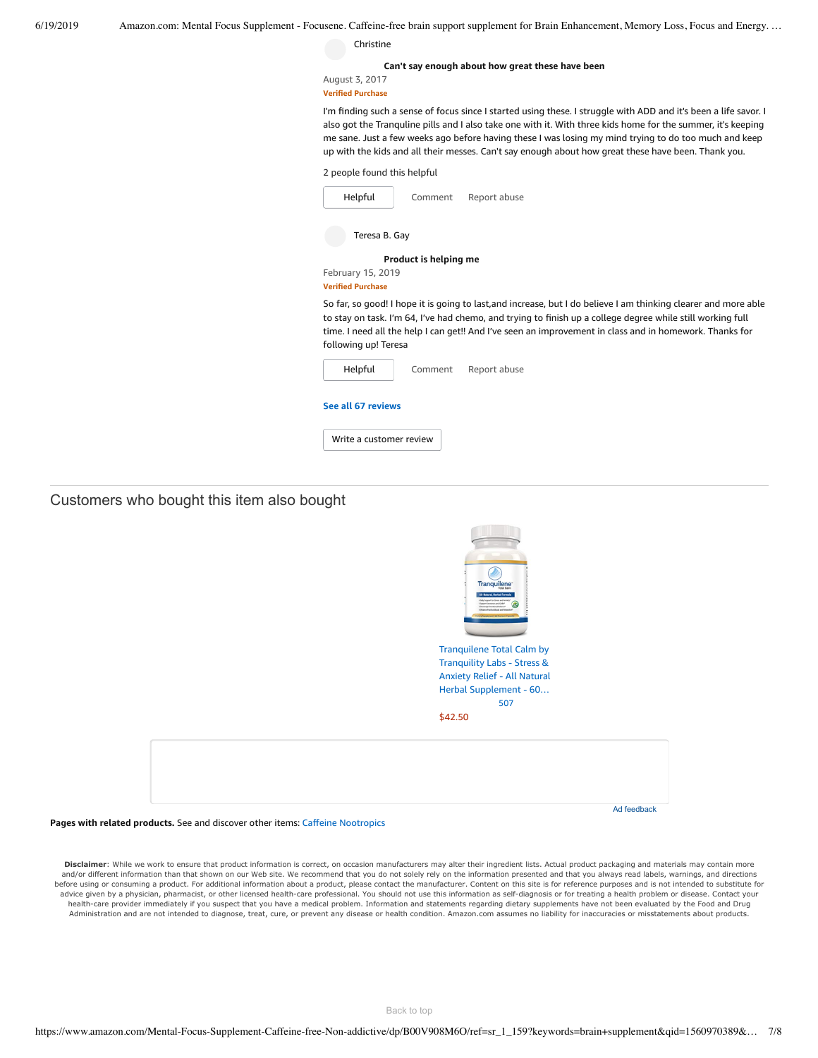| 6/19/2019 | Amazon.com: Mental Focus Supplement - Focusene. Caffeine-free brain support supplement for Brain Enhancement, Memory Loss, Focus and Energy                                                                                                                                                                                                                                                                                                      |
|-----------|--------------------------------------------------------------------------------------------------------------------------------------------------------------------------------------------------------------------------------------------------------------------------------------------------------------------------------------------------------------------------------------------------------------------------------------------------|
|           | Christine                                                                                                                                                                                                                                                                                                                                                                                                                                        |
|           | Can't say enough about how great these have been<br>August 3, 2017<br><b>Verified Purchase</b>                                                                                                                                                                                                                                                                                                                                                   |
|           | I'm finding such a sense of focus since I started using these. I struggle with ADD and it's been a life savor. I<br>also got the Tranguline pills and I also take one with it. With three kids home for the summer, it's keeping<br>me sane. Just a few weeks ago before having these I was losing my mind trying to do too much and keep<br>up with the kids and all their messes. Can't say enough about how great these have been. Thank you. |
|           | 2 people found this helpful                                                                                                                                                                                                                                                                                                                                                                                                                      |
|           | Helpful<br>Report abuse<br>Comment                                                                                                                                                                                                                                                                                                                                                                                                               |
|           | Teresa B. Gay                                                                                                                                                                                                                                                                                                                                                                                                                                    |
|           | Product is helping me                                                                                                                                                                                                                                                                                                                                                                                                                            |
|           | February 15, 2019<br><b>Verified Purchase</b>                                                                                                                                                                                                                                                                                                                                                                                                    |
|           | So far, so good! I hope it is going to last, and increase, but I do believe I am thinking clearer and more able<br>to stay on task. I'm 64, I've had chemo, and trying to finish up a college degree while still working full<br>time. I need all the help I can get!! And I've seen an improvement in class and in homework. Thanks for<br>following up! Teresa                                                                                 |
|           | Report abuse<br>Helpful<br>Comment                                                                                                                                                                                                                                                                                                                                                                                                               |
|           | See all 67 reviews                                                                                                                                                                                                                                                                                                                                                                                                                               |
|           | Write a customer review                                                                                                                                                                                                                                                                                                                                                                                                                          |
|           |                                                                                                                                                                                                                                                                                                                                                                                                                                                  |

Customers who bought this item also bought

| Tranquilene <sup>-</sup><br>All-Natural, Nerbal Formula<br>- Daily Support for Stress and Anatoty'<br>8<br>-Support Securities and GABA*<br>-Encourage Emotional Balance*<br>- Exhance Positive Mood and Interaction<br>ranch ambanant (dd Pennson Carris) |  |
|------------------------------------------------------------------------------------------------------------------------------------------------------------------------------------------------------------------------------------------------------------|--|
| <b>Tranquilene Total Calm by</b>                                                                                                                                                                                                                           |  |
| <b>Tranquility Labs - Stress &amp;</b>                                                                                                                                                                                                                     |  |
| <b>Anxiety Relief - All Natural</b>                                                                                                                                                                                                                        |  |
| Herbal Supplement - 60                                                                                                                                                                                                                                     |  |
| 507                                                                                                                                                                                                                                                        |  |
| \$42.50                                                                                                                                                                                                                                                    |  |
|                                                                                                                                                                                                                                                            |  |
| Ad feedback                                                                                                                                                                                                                                                |  |

**Pages with related products.** See and discover other items: Caffeine [Nootropics](https://www.amazon.com/slp/Caffeine-Nootropics/afket8njjk8y6dv?_encoding=UTF8&ref_=fs_blw_d_clp_1)

Disclaimer: While we work to ensure that product information is correct, on occasion manufacturers may alter their ingredient lists. Actual product packaging and materials may contain more and/or different information than that shown on our Web site. We recommend that you do not solely rely on the information presented and that you always read labels, warnings, and directions before using or consuming a product. For additional information about a product, please contact the manufacturer. Content on this site is for reference purposes and is not intended to substitute for advice given by a physician, pharmacist, or other licensed health-care professional. You should not use this information as self-diagnosis or for treating a health problem or disease. Contact your health-care provider immediately if you suspect that you have a medical problem. Information and statements regarding dietary supplements have not been evaluated by the Food and Drug<br>Administration and are not intended to